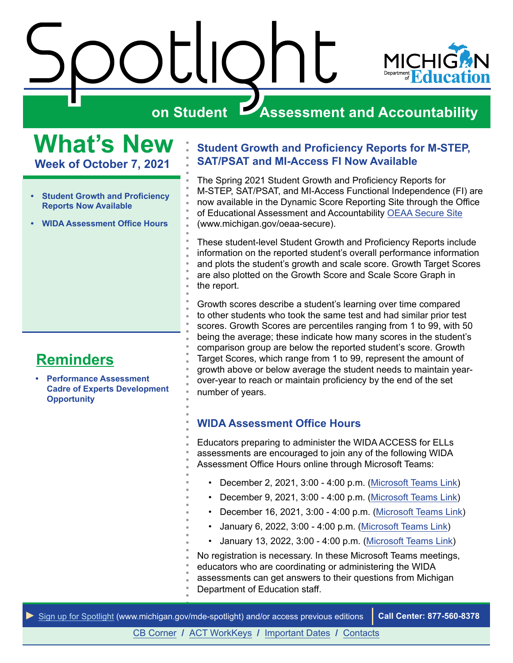

# <span id="page-0-0"></span>**What's New Week of October 7, 2021**

- **Student Growth and Proficiency Reports Now Available**
- **WIDA Assessment Office Hours**

# **Reminders**

**• [Performance Assessment](#page-1-0)  [Cadre of Experts Development](#page-1-0)  [Opportunity](#page-1-0)** 

#### **Student Growth and Proficiency Reports for M-STEP, SAT/PSAT and MI-Access FI Now Available**

The Spring 2021 Student Growth and Proficiency Reports for M-STEP, SAT/PSAT, and MI-Access Functional Independence (FI) are now available in the Dynamic Score Reporting Site through the Office of Educational Assessment and Accountability [OEAA Secure Site](http://www.michigan.gov/oeaa-secure) [\(www.michigan.gov/oeaa-secure](www.michigan.gov/oeaa-secure)).

These student-level Student Growth and Proficiency Reports include information on the reported student's overall performance information and plots the student's growth and scale score. Growth Target Scores are also plotted on the Growth Score and Scale Score Graph in the report.

Growth scores describe a student's learning over time compared to other students who took the same test and had similar prior test scores. Growth Scores are percentiles ranging from 1 to 99, with 50 being the average; these indicate how many scores in the student's comparison group are below the reported student's score. Growth Target Scores, which range from 1 to 99, represent the amount of growth above or below average the student needs to maintain yearover-year to reach or maintain proficiency by the end of the set number of years.

#### **WIDA Assessment Office Hours**

Educators preparing to administer the WIDA ACCESS for ELLs assessments are encouraged to join any of the following WIDA Assessment Office Hours online through Microsoft Teams:

- December 2, 2021, 3:00 4:00 p.m. ([Microsoft Teams Link\)](https://teams.microsoft.com/l/meetup-join/19%3ameeting_ZTI2YjQwZjUtMjU0NC00ZmQ1LWE1YWItNDI2ZjYwN2I1N2E5%40thread.v2/0?context=%7b%22Tid%22%3a%22d5fb7087-3777-42ad-966a-892ef47225d1%22%2c%22Oid%22%3a%221bb5cc60-e637-4bde-a17c-fc156bd19bc2%22%7d)
- December 9, 2021, 3:00 4:00 p.m. ([Microsoft Teams Link\)](https://teams.microsoft.com/l/meetup-join/19%3ameeting_ZTI2YjQwZjUtMjU0NC00ZmQ1LWE1YWItNDI2ZjYwN2I1N2E5%40thread.v2/0?context=%7b%22Tid%22%3a%22d5fb7087-3777-42ad-966a-892ef47225d1%22%2c%22Oid%22%3a%221bb5cc60-e637-4bde-a17c-fc156bd19bc2%22%7d)
- December 16, 2021, 3:00 4:00 p.m. ([Microsoft Teams Link](https://teams.microsoft.com/l/meetup-join/19%3ameeting_ZTI2YjQwZjUtMjU0NC00ZmQ1LWE1YWItNDI2ZjYwN2I1N2E5%40thread.v2/0?context=%7b%22Tid%22%3a%22d5fb7087-3777-42ad-966a-892ef47225d1%22%2c%22Oid%22%3a%221bb5cc60-e637-4bde-a17c-fc156bd19bc2%22%7d))
- January 6, 2022, 3:00 4:00 p.m. [\(Microsoft Teams Link](https://teams.microsoft.com/l/meetup-join/19%3ameeting_ZTI2YjQwZjUtMjU0NC00ZmQ1LWE1YWItNDI2ZjYwN2I1N2E5%40thread.v2/0?context=%7b%22Tid%22%3a%22d5fb7087-3777-42ad-966a-892ef47225d1%22%2c%22Oid%22%3a%221bb5cc60-e637-4bde-a17c-fc156bd19bc2%22%7d))
- January 13, 2022, 3:00 4:00 p.m. [\(Microsoft Teams Link](https://teams.microsoft.com/l/meetup-join/19%3ameeting_ZTI2YjQwZjUtMjU0NC00ZmQ1LWE1YWItNDI2ZjYwN2I1N2E5%40thread.v2/0?context=%7b%22Tid%22%3a%22d5fb7087-3777-42ad-966a-892ef47225d1%22%2c%22Oid%22%3a%221bb5cc60-e637-4bde-a17c-fc156bd19bc2%22%7d))

No registration is necessary. In these Microsoft Teams meetings, educators who are coordinating or administering the WIDA assessments can get answers to their questions from Michigan Department of Education staff.



[CB Corner](#page-2-0) **/** [ACT WorkKeys](#page-3-0) **/** [Important Dates](#page-4-0) **/** [Contacts](#page-5-0)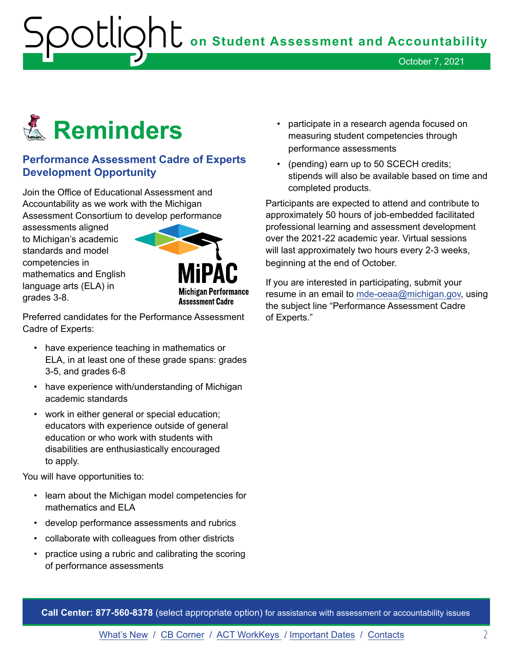October 7, 2021

<span id="page-1-0"></span>

#### **Performance Assessment Cadre of Experts Development Opportunity**

Join the Office of Educational Assessment and Accountability as we work with the Michigan Assessment Consortium to develop performance

assessments aligned to Michigan's academic standards and model competencies in mathematics and English language arts (ELA) in grades 3-8.



Preferred candidates for the Performance Assessment Cadre of Experts:

- have experience teaching in mathematics or ELA, in at least one of these grade spans: grades 3-5, and grades 6-8
- have experience with/understanding of Michigan academic standards
- work in either general or special education; educators with experience outside of general education or who work with students with disabilities are enthusiastically encouraged to apply.

You will have opportunities to:

- learn about the Michigan model competencies for mathematics and ELA
- develop performance assessments and rubrics
- collaborate with colleagues from other districts
- practice using a rubric and calibrating the scoring of performance assessments
- participate in a research agenda focused on measuring student competencies through performance assessments
- (pending) earn up to 50 SCECH credits; stipends will also be available based on time and completed products.

Participants are expected to attend and contribute to approximately 50 hours of job-embedded facilitated professional learning and assessment development over the 2021-22 academic year. Virtual sessions will last approximately two hours every 2-3 weeks, beginning at the end of October.

If you are interested in participating, submit your resume in an email to [mde-oeaa@michigan.go](mailto:mde-oeaa%40michigan.gov?subject=Performance%20Assessment%20Cadre%20of%20Experts)[v,](mailto:mde-oeaa@michigan.gov) using the subject line "Performance Assessment Cadre of Experts."

**Call Center: 877-560-8378** (select appropriate option) for assistance with assessment or accountability issues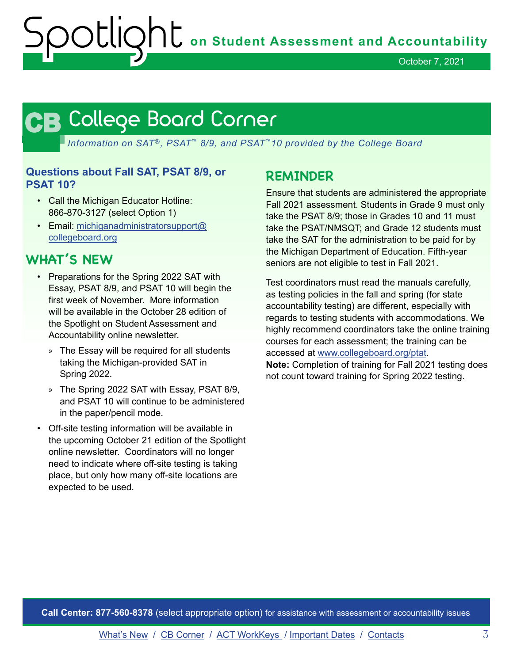October 7, 2021

# <span id="page-2-0"></span>**CB CB**

*Information on SAT*®*, PSAT*™ *8/9, and PSAT*™*10 provided by the College Board* 

#### **Questions about Fall SAT, PSAT 8/9, or PSAT 10?**

- Call the Michigan Educator Hotline: 866-870-3127 (select Option 1)
- Email: [michiganadministratorsupport@](mailto:michiganadministratorsupport%40collegeboard.org?subject=) [collegeboard.org](mailto:michiganadministratorsupport%40collegeboard.org?subject=)

# **WHAT'S NEW**

- Preparations for the Spring 2022 SAT with Essay, PSAT 8/9, and PSAT 10 will begin the first week of November. More information will be available in the October 28 edition of the Spotlight on Student Assessment and Accountability online newsletter.
	- » The Essay will be required for all students taking the Michigan-provided SAT in Spring 2022.
	- » The Spring 2022 SAT with Essay, PSAT 8/9, and PSAT 10 will continue to be administered in the paper/pencil mode.
- Off-site testing information will be available in the upcoming October 21 edition of the Spotlight online newsletter. Coordinators will no longer need to indicate where off-site testing is taking place, but only how many off-site locations are expected to be used.

# **REMINDER**

Ensure that students are administered the appropriate Fall 2021 assessment. Students in Grade 9 must only take the PSAT 8/9; those in Grades 10 and 11 must take the PSAT/NMSQT; and Grade 12 students must take the SAT for the administration to be paid for by the Michigan Department of Education. Fifth-year seniors are not eligible to test in Fall 2021.

Test coordinators must read the manuals carefully, as testing policies in the fall and spring (for state accountability testing) are different, especially with regards to testing students with accommodations. We highly recommend coordinators take the online training courses for each assessment; the training can be accessed at [www.collegeboard.org/ptat.](http://www.collegeboard.org/ptat)

**Note:** Completion of training for Fall 2021 testing does not count toward training for Spring 2022 testing.

**Call Center: 877-560-8378** (select appropriate option) for assistance with assessment or accountability issues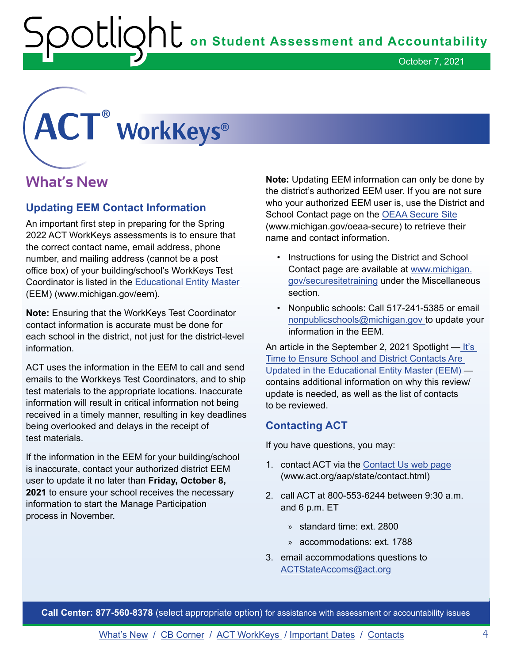October 7, 2021

# <span id="page-3-0"></span>**® ®**

# **What's New**

#### **Updating EEM Contact Information**

An important first step in preparing for the Spring 2022 ACT WorkKeys assessments is to ensure that the correct contact name, email address, phone number, and mailing address (cannot be a post office box) of your building/school's WorkKeys Test Coordinator is listed in the [Educational Entity Master](http://www.michigan.gov/eem)  (EEM) (<www.michigan.gov/eem>).

**Note:** Ensuring that the WorkKeys Test Coordinator contact information is accurate must be done for each school in the district, not just for the district-level information.

ACT uses the information in the EEM to call and send emails to the Workkeys Test Coordinators, and to ship test materials to the appropriate locations. Inaccurate information will result in critical information not being received in a timely manner, resulting in key deadlines being overlooked and delays in the receipt of test materials.

If the information in the EEM for your building/school is inaccurate, contact your authorized district EEM user to update it no later than **Friday, October 8, 2021** to ensure your school receives the necessary information to start the Manage Participation process in November.

School Contact page on the OEAA Secure Site **Note:** Updating EEM information can only be done by the district's authorized EEM user. If you are not sure who your authorized EEM user is, use the District and (<www.michigan.gov/oeaa-secure>) to retrieve their name and contact information.

- Instructions for using the District and School Contact page are available at [www.michigan.](http://www.michigan.gov/securesitetraining)  [gov/securesitetraining](http://www.michigan.gov/securesitetraining) under the Miscellaneous section.
- Nonpublic schools: Call 517-241-5385 or email [nonpublicschools@michigan.gov t](mailto:nonpublicschools%40michigan.gov%20?subject=Update%20to%20EEM)o update your information in the EEM.

An article in the September 2, 2021 Spotlight — [It's](https://www.michigan.gov/documents/mde/Spotlight_9-02-21_734500_7.pdf)  [Time to Ensure School and District Contacts Are](https://www.michigan.gov/documents/mde/Spotlight_9-02-21_734500_7.pdf)  [Updated in the Educational Entity Master \(EEM\)](https://www.michigan.gov/documents/mde/Spotlight_9-02-21_734500_7.pdf)  contains additional information on why this review/ update is needed, as well as the list of contacts to be reviewed.

#### **Contacting ACT**

If you have questions, you may:

- 1. contact ACT via the [Contact Us web page](mailto:www.act.org/aap/state/contact.html?subject=) (<www.act.org/aap/state/contact.html>)
- 2. call ACT at 800-553-6244 between 9:30 a.m. and 6 p.m. ET
	- » standard time: ext. 2800
	- » accommodations: ext. 1788
- 3. email accommodations questions to [ACTStateAccoms@act.org](mailto:ACTStateAccoms%40act.org?subject=Requesting%20Assistance)

**Call Center: 877-560-8378** (select appropriate option) for assistance with assessment or accountability issues

[What's New](#page-0-0) / [CB Corner](#page-2-0) / ACT WorkKeys / [Important Dates](#page-4-0) / [Contacts](#page-5-0) 4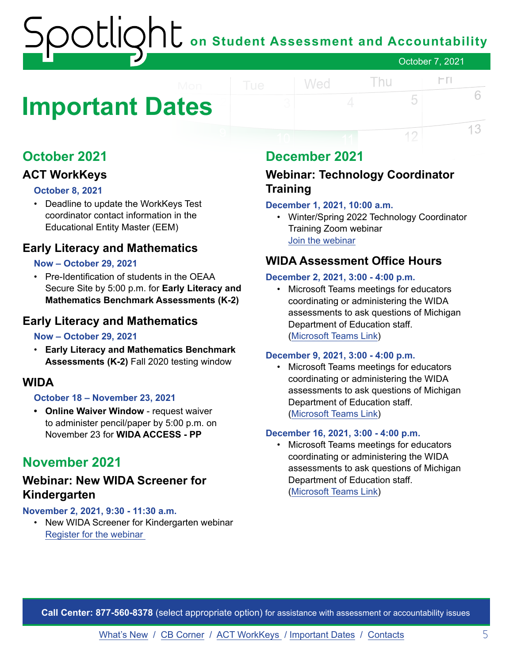# **on Student Assessment and Accountability** October 7, 2021

# <span id="page-4-0"></span>**Important Dates**

# **October 2021**

## **ACT WorkKeys**

#### **October 8, 2021**

• Deadline to update the WorkKeys Test coordinator contact information in the Educational Entity Master (EEM)

### **Early Literacy and Mathematics**

#### **Now – October 29, 2021**

• Pre-Identification of students in the OEAA Secure Site by 5:00 p.m. for **Early Literacy and Mathematics Benchmark Assessments (K-2)** 

### **Early Literacy and Mathematics**

#### **Now – October 29, 2021**

• **Early Literacy and Mathematics Benchmark Assessments (K-2)** Fall 2020 testing window

#### **WIDA**

#### **October 18 – November 23, 2021**

**• Online Waiver Window** - request waiver to administer pencil/paper by 5:00 p.m. on November 23 for **WIDA ACCESS - PP** 

# **November 2021**

#### **Webinar: New WIDA Screener for Kindergarten**

#### **November 2, 2021, 9:30 - 11:30 a.m.**

• New WIDA Screener for Kindergarten webinar Register for [the webinar](https://forms.gle/qkFZeRrch2ujira59) 

# **December 2021**

Wed

### **Webinar: Technology Coordinator Training**

#### **December 1, 2021, 10:00 a.m.**

• Winter/Spring 2022 Technology Coordinator Training Zoom webinar [Join the webinar](https://datarecognitioncorp.zoom.us/j/84084055143)

Thu

 $\Gamma$ 

5

12

6

13

#### **WIDA Assessment Office Hours**

#### **December 2, 2021, 3:00 - 4:00 p.m.**

• Microsoft Teams meetings for educators coordinating or administering the WIDA assessments to ask questions of Michigan Department of Education staff. ([Microsoft Teams Link](https://teams.microsoft.com/l/meetup-join/19%3ameeting_ZTI2YjQwZjUtMjU0NC00ZmQ1LWE1YWItNDI2ZjYwN2I1N2E5%40thread.v2/0?context=%7b%22Tid%22%3a%22d5fb7087-3777-42ad-966a-892ef47225d1%22%2c%22Oid%22%3a%221bb5cc60-e637-4bde-a17c-fc156bd19bc2%22%7d))

#### **December 9, 2021, 3:00 - 4:00 p.m.**

• Microsoft Teams meetings for educators coordinating or administering the WIDA assessments to ask questions of Michigan Department of Education staff. ([Microsoft Teams Link](https://teams.microsoft.com/l/meetup-join/19%3ameeting_ZTI2YjQwZjUtMjU0NC00ZmQ1LWE1YWItNDI2ZjYwN2I1N2E5%40thread.v2/0?context=%7b%22Tid%22%3a%22d5fb7087-3777-42ad-966a-892ef47225d1%22%2c%22Oid%22%3a%221bb5cc60-e637-4bde-a17c-fc156bd19bc2%22%7d))

#### **December 16, 2021, 3:00 - 4:00 p.m.**

• Microsoft Teams meetings for educators coordinating or administering the WIDA assessments to ask questions of Michigan Department of Education staff. ([Microsoft Teams Link](https://teams.microsoft.com/l/meetup-join/19%3ameeting_ZTI2YjQwZjUtMjU0NC00ZmQ1LWE1YWItNDI2ZjYwN2I1N2E5%40thread.v2/0?context=%7b%22Tid%22%3a%22d5fb7087-3777-42ad-966a-892ef47225d1%22%2c%22Oid%22%3a%221bb5cc60-e637-4bde-a17c-fc156bd19bc2%22%7d))

**Call Center: 877-560-8378** (select appropriate option) for assistance with assessment or accountability issues